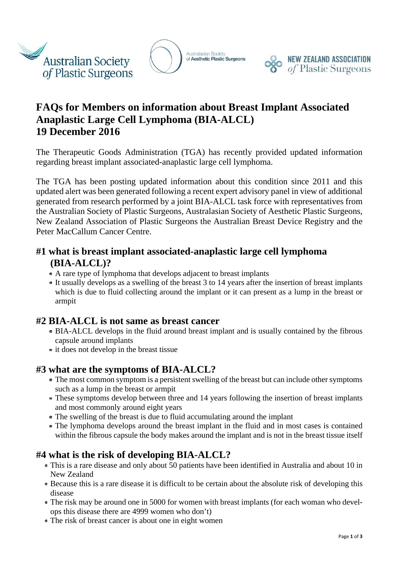

Australasian Society<br>of Aesthetic Plastic Surgeons



# **FAQs for Members on information about Breast Implant Associated Anaplastic Large Cell Lymphoma (BIA-ALCL) 19 December 2016**

The Therapeutic Goods Administration (TGA) has recently provided updated information regarding breast implant associated-anaplastic large cell lymphoma.

The TGA has been posting updated information about this condition since 2011 and this updated alert was been generated following a recent expert advisory panel in view of additional generated from research performed by a joint BIA-ALCL task force with representatives from the Australian Society of Plastic Surgeons, Australasian Society of Aesthetic Plastic Surgeons, New Zealand Association of Plastic Surgeons the Australian Breast Device Registry and the Peter MacCallum Cancer Centre.

## **#1 what is breast implant associated-anaplastic large cell lymphoma (BIA-ALCL)?**

- A rare type of lymphoma that develops adjacent to breast implants
- It usually develops as a swelling of the breast 3 to 14 years after the insertion of breast implants which is due to fluid collecting around the implant or it can present as a lump in the breast or armpit

## **#2 BIA-ALCL is not same as breast cancer**

- BIA-ALCL develops in the fluid around breast implant and is usually contained by the fibrous capsule around implants
- it does not develop in the breast tissue

#### **#3 what are the symptoms of BIA-ALCL?**

- The most common symptom is a persistent swelling of the breast but can include other symptoms such as a lump in the breast or armpit
- These symptoms develop between three and 14 years following the insertion of breast implants and most commonly around eight years
- The swelling of the breast is due to fluid accumulating around the implant
- The lymphoma develops around the breast implant in the fluid and in most cases is contained within the fibrous capsule the body makes around the implant and is not in the breast tissue itself

## **#4 what is the risk of developing BIA-ALCL?**

- This is a rare disease and only about 50 patients have been identified in Australia and about 10 in New Zealand
- Because this is a rare disease it is difficult to be certain about the absolute risk of developing this disease
- The risk may be around one in 5000 for women with breast implants (for each woman who develops this disease there are 4999 women who don't)
- The risk of breast cancer is about one in eight women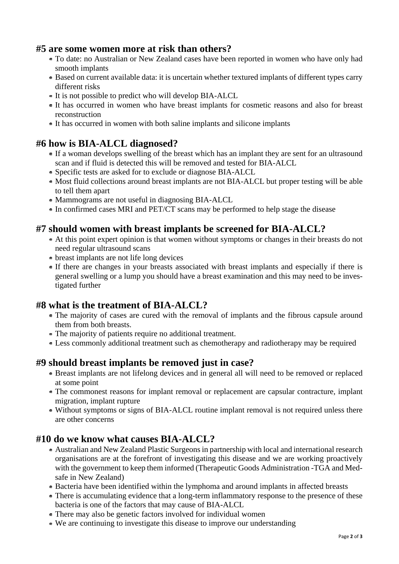#### **#5 are some women more at risk than others?**

- To date: no Australian or New Zealand cases have been reported in women who have only had smooth implants
- Based on current available data: it is uncertain whether textured implants of different types carry different risks
- It is not possible to predict who will develop BIA-ALCL
- It has occurred in women who have breast implants for cosmetic reasons and also for breast reconstruction
- It has occurred in women with both saline implants and silicone implants

## **#6 how is BIA-ALCL diagnosed?**

- If a woman develops swelling of the breast which has an implant they are sent for an ultrasound scan and if fluid is detected this will be removed and tested for BIA-ALCL
- Specific tests are asked for to exclude or diagnose BIA-ALCL
- Most fluid collections around breast implants are not BIA-ALCL but proper testing will be able to tell them apart
- Mammograms are not useful in diagnosing BIA-ALCL
- In confirmed cases MRI and PET/CT scans may be performed to help stage the disease

## **#7 should women with breast implants be screened for BIA-ALCL?**

- At this point expert opinion is that women without symptoms or changes in their breasts do not need regular ultrasound scans
- breast implants are not life long devices
- If there are changes in your breasts associated with breast implants and especially if there is general swelling or a lump you should have a breast examination and this may need to be investigated further

## **#8 what is the treatment of BIA-ALCL?**

- The majority of cases are cured with the removal of implants and the fibrous capsule around them from both breasts.
- The majority of patients require no additional treatment.
- Less commonly additional treatment such as chemotherapy and radiotherapy may be required

## **#9 should breast implants be removed just in case?**

- Breast implants are not lifelong devices and in general all will need to be removed or replaced at some point
- The commonest reasons for implant removal or replacement are capsular contracture, implant migration, implant rupture
- Without symptoms or signs of BIA-ALCL routine implant removal is not required unless there are other concerns

## **#10 do we know what causes BIA-ALCL?**

- Australian and New Zealand Plastic Surgeons in partnership with local and international research organisations are at the forefront of investigating this disease and we are working proactively with the government to keep them informed (Therapeutic Goods Administration -TGA and Medsafe in New Zealand)
- Bacteria have been identified within the lymphoma and around implants in affected breasts
- There is accumulating evidence that a long-term inflammatory response to the presence of these bacteria is one of the factors that may cause of BIA-ALCL
- There may also be genetic factors involved for individual women
- We are continuing to investigate this disease to improve our understanding